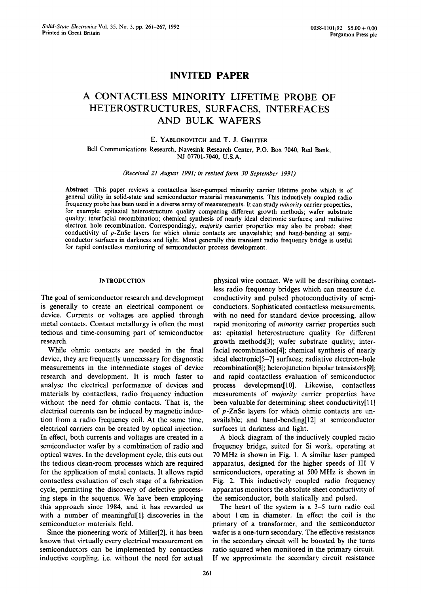# **INVITED PAPER**

# **A CONTACTLESS MINORITY LIFETIME PROBE OF HETEROSTRUCTURES, SURFACES, INTERFACES AND BULK WAFERS**

E. YABLONOVITCH and T. J. GMITTER

Bell Communications Research, Navesink Research Center, P.O. Box 7040, Red Bank, NJ 07701-7040, U.S.A.

*(Received 21 August 1991; in revised form 30 September 1991)* 

Abstract--This paper reviews a contactless laser-pumped minority carrier lifetime probe which is of general utility in solid-state and semiconductor material measurements. This inductively coupled radio frequency probe has been used in a diverse array of measurements. It can study *minority* carrier properties, for example: epitaxial heterostructure quality comparing different growth methods; wafer substrate quality; interfacial recombination; chemical synthesis of nearly ideal electronic surfaces; and radiative electron-hole recombination. Correspondingly, *majority* carrier properties may also be probed: sheet conductivity of p-ZnSe layers for which ohmic contacts are unavailable; and band-bending at semiconductor surfaces in darkness and light. Most generally this transient radio frequency bridge is useful for rapid contactless monitoring of semiconductor process development.

### INTRODUCTION

The goal of semiconductor research and development is generally to create an electrical component or device. Currents or voltages are applied through metal contacts. Contact metallurgy is often the most tedious and time-consuming part of semiconductor research.

While ohmic contacts are needed in the final device, they are frequently unnecessary for diagnostic measurements in the intermediate stages of device research and development. It is much faster to analyse the electrical performance of devices and materials by contactless, radio frequency induction without the need for ohmic contacts. That is, the electrical currents can be induced by magnetic induction from a radio frequency coil. At the same time, electrical carriers can be created by optical injection. In effect, both currents and voltages are created in a semiconductor wafer by a combination of radio and optical waves. In the development cycle, this cuts out the tedious clean-room processes which are required for the application of metal contacts. It allows rapid contactless evaluation of each stage of a fabrication cycle, permitting the discovery of defective processing steps in the sequence. We have been employing this approach since 1984, and it has rewarded us with a number of meaningful[l] discoveries in the semiconductor materials field.

Since the pioneering work of Miller[2], it has been known that virtually every electrical measurement on semiconductors can be implemented by contactless inductive coupling, i.e. without the need for actual

physical wire contact. We will be describing contactless radio frequency bridges which can measure d.c. conductivity and pulsed photoconductivity of semiconductors. Sophisticated contactless measurements, with no need for standard device processing, allow rapid monitoring of *minority* carrier properties such **as:** epitaxial heterostructure quality for different growth methods[3]; wafer substrate quality; interfacial recombination[4]; chemical synthesis of nearly ideal electronic[5-7] surfaces; radiative electron-hole recombination[8]; heterojunction bipolar transistors[9]; and rapid contactless evaluation of semiconductor process development[10]. Likewise, contactless measurements of *majority* carrier properties have been valuable for determining: sheet conductivity[1 l] of p-ZnSe layers for which ohmic contacts are unavailable; and band-bending[12] at semiconductor surfaces in darkness and light.

A block diagram of the inductively coupled radio frequency bridge, suited for Si work, operating at 70 MHz is shown in Fig. 1. A similar laser pumped apparatus, designed for the higher speeds of III-V semiconductors, operating at 500 MHz is shown in Fig. 2. This inductively coupled radio frequency apparatus monitors the absolute sheet conductivity of the semiconductor, both statically and pulsed.

The heart of the system is a 3-5 turn radio coil about 1 cm in diameter. In effect the coil is the primary of a transformer, and the semiconductor wafer is a one-turn secondary. The effective resistance in the secondary circuit will be boosted by the turns ratio squared when monitored in the primary circuit. If we approximate the secondary circuit resistance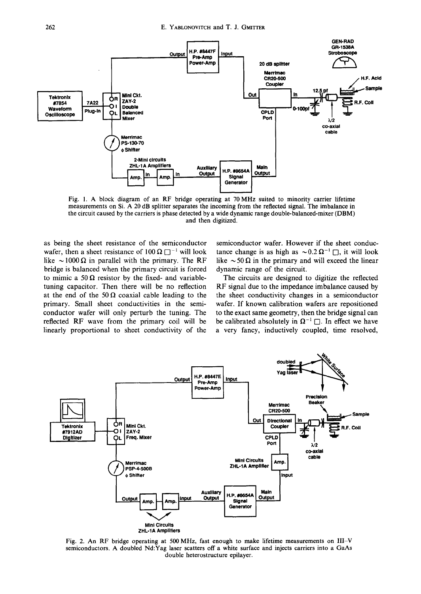

Fig. 1. A block diagram of an RF bridge operating at 70 MHz suited to minority carrier lifetime measurements on Si. A 20 dB splitter separates the incoming from the reflected signal. The imbalance in the circuit caused by the carriers is phase detected by a wide dynamic range double-balanced-mixer (DBM) and then digitized.

as being the sheet resistance of the semiconductor wafer, then a sheet resistance of  $100 \Omega \square^{-1}$  will look like  $\sim$  1000  $\Omega$  in parallel with the primary. The RF bridge is balanced when the primary circuit is forced to mimic a 50  $\Omega$  resistor by the fixed- and variabletuning capacitor. Then there will be no reflection at the end of the 50  $\Omega$  coaxial cable leading to the primary. Small sheet conductivities in the semiconductor wafer will only perturb the tuning. The reflected RF wave from the primary coil will be linearly proportional to sheet conductivity of the semiconductor wafer. However if the sheet conductance change is as high as  $\sim 0.2 \Omega^{-1}$   $\Box$ , it will look like  $\sim$  50  $\Omega$  in the primary and will exceed the linear dynamic range of the circuit.

The circuits are designed to digitize the reflected RF signal due to the impedance imbalance caused by the sheet conductivity changes in a semiconductor wafer. If known calibration wafers are repositioned to the exact same geometry, then the bridge signal can be calibrated absolutely in  $\Omega^{-1} \Box$ . In effect we have a very fancy, inductively coupled, time resolved,



Fig. 2. An RF bridge operating at 500 MHz, fast enough to make lifetime measurements on III-V semiconductors. A doubled Nd:Yag laser scatters off a white surface and injects carriers into a GaAs double heterostructure epilayer.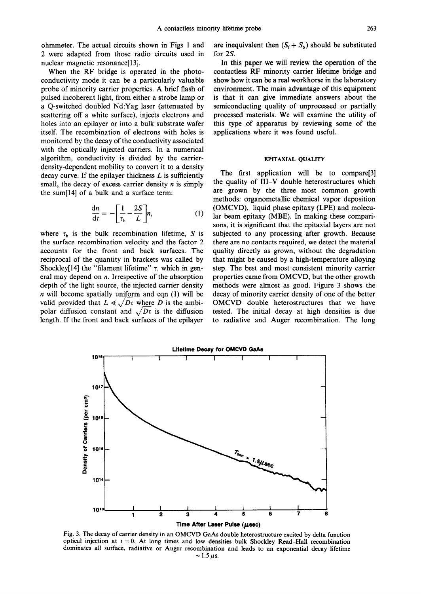ohmmeter. The actual circuits shown in Figs 1 and 2 were adapted from those radio circuits used in nuclear magnetic resonance[13].

When the RF bridge is operated in the photoconductivity mode it can be a particularly valuable probe of minority carrier properties. A brief flash of pulsed incoherent light, from either a strobe lamp or a Q-switched doubled Nd:Yag laser (attenuated by scattering off a white surface), injects electrons and holes into an epilayer or into a bulk substrate wafer itself. The recombination of electrons with holes is monitored by the decay of the conductivity associated with the optically injected carriers. In a numerical algorithm, conductivity is divided by the carrierdensity-dependent mobility to convert it to a density decay curve. If the epilayer thickness  $L$  is sufficiently small, the decay of excess carrier density  $n$  is simply the sum[14] of a bulk and a surface term:

$$
\frac{dn}{dt} = -\left[\frac{1}{\tau_b} + \frac{2S}{L}\right]n,\tag{1}
$$

where  $\tau_b$  is the bulk recombination lifetime, S is the surface recombination velocity and the factor 2 accounts for the front and back surfaces. The reciprocal of the quantity in brackets was called by Shockley[14] the "filament lifetime"  $\tau$ , which in general may depend on n. Irrespective of the absorption depth of the light source, the injected carrier density  $n$  will become spatially uniform and eqn (1) will be valid provided that  $L \ll \sqrt{Dt}$  where D is the ambipolar diffusion constant and  $\sqrt{D\tau}$  is the diffusion length. If the front and back surfaces of the epilayer are inequivalent then  $(S_f + S_b)$  should be substituted for 2S.

In this paper we will review the operation of the contactless RF minority carrier lifetime bridge and show how it can be a real workhorse in the laboratory environment. The main advantage of this equipment is that it can give immediate answers about the semiconducting quality of unprocessed or partially processed materials. We will examine the utility of this type of apparatus by reviewing some of the applications where it was found useful.

## EPITAXIAL QUALITY

The first application will be to compare[3] the quality of III-V double heterostructures which are grown by the three most common growth methods: organometallic chemical vapor deposition (OMCVD), liquid phase epitaxy (LPE) and molecular beam epitaxy (MBE). In making these comparisons, it is significant that the epitaxial layers are not subjected to any processing after growth. Because there are no contacts required, we detect the material quality directly as grown, without the degradation that might be caused by a high-temperature alloying step. The best and most consistent minority carrier properties came from OMCVD, but the other growth methods were almost as good. Figure 3 shows the decay of minority carrier density of one of the better OMCVD double heterostructures that we have tested. The initial decay at high densities is due to radiative and Auger recombination. The long



Fig. 3. The decay of carrier density in an OMCVD GaAs double heterostructure excited by delta function optical injection at  $t = 0$ . At long times and low densities bulk Shockley-Read-Hall recombination dominates all surface, radiative or Auger recombination and leads to an exponential decay lifetime  $\sim$  1.5  $\mu$ s.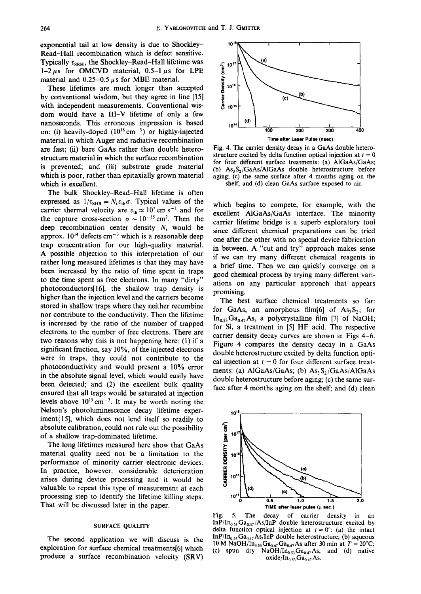exponential tail at low density is due to Shockley-Read-Hall recombination which is defect sensitive. Typically  $\tau_{\text{SRH}}$ , the Shockley-Read-Hall lifetime was 1-2  $\mu$ s for OMCVD material, 0.5-1  $\mu$ s for LPE material and  $0.25-0.5~\mu s$  for MBE material.

These lifetimes are much longer than accepted by conventional wisdom, but they agree in line [15] with independent measurements. Conventional wisdom would have a III-V lifetime of only a few nanoseconds. This erroneous impression is based on: (i) heavily-doped  $(10^{18} \text{ cm}^{-3})$  or highly-injected material in which Auger and radiative recombination are fast; (ii) bare GaAs rather than double heterostructure material in which the surface recombination is prevented; and (iii) substrate grade material which is poor, rather than epitaxially grown material which is excellent.

The bulk Shockley-Read-Hall lifetime is often expressed as  $1/\tau_{\text{SHR}} = N_t v_{\text{th}} \sigma$ . Typical values of the carrier thermal velocity are  $v_{th} \approx 10^7$  cm s<sup>-1</sup> and for the capture cross-section  $\sigma \sim 10^{-15}$  cm<sup>2</sup>. Then the deep recombination center density  $N$ , would be approx.  $10^{14}$  defects cm<sup>-3</sup> which is a reasonable deep trap concentration for our high-quality material. A possible objection to this interpretation of our rather long measured lifetimes is that they may have been increased by the ratio of time spent in traps to the time spent as free electrons. In many "dirty" photoconductors[16], the shallow trap density is higher than the injection level and the carriers become stored in shallow traps where they neither recombine nor contribute to the conductivity. Then the lifetime is increased by the ratio of the number of trapped electrons to the number of free electrons. There are two reasons why this is not happening here: (1) if a significant fraction, say 10%, of the injected electrons were in traps, they could not contribute to the photoconductivity and would present a 10% error in the absolute signal level, which would easily have been detected; and (2) the excellent bulk quality ensured that all traps would be saturated at injection levels above  $10^{15}$  cm<sup>-3</sup>. It may be worth noting the Nelson's photoluminescence decay lifetime experiment{15], which does not lend itself so readily to absolute calibration, could not rule out the possibility of a shallow trap-dominated lifetime.

The long lifetimes measured here show that GaAs material quality need not be a limitation to the performance of minority carrier electronic devices. In practice, however, considerable deterioration arises during device processing and it would be valuable to repeat this type of measurement at each processing step to identify the lifetime killing steps. That will be discussed later in the paper.

#### SURFACE QUALITY

The second application we will discuss is the exploration for surface chemical treatments[6] which produce a surface recombination velocity (SRV)



Fig. 4. The carrier density decay in a GaAs double heterostructure excited by delta function optical injection at  $t = 0$ for four different surface treatments: (a) A1GaAs/GaAs; (b)  $As_3S_2/GaAs/AlGaAs$  double heterostructure before aging; (c) the same surface after 4 months aging on the shelf; and (d) clean GaAs surface exposed to air.

which begins to compete, for example, with the excellent AIGaAs/GaAs interface. The minority carrier lifetime bridge is a superb exploratory tool since different chemical preparations can be tried one after the other with no special device fabrication in between. A "cut and try" approach makes sense if we can try many different chemical reagents in a brief time. Then we can quickly converge on a good chemical process by trying many different variations on any particular approach that appears promising.

The best surface chemical treatments so far: for GaAs, an amorphous film[6] of  $As_3S_2$ ; for  $In<sub>0.53</sub>Ga<sub>0.47</sub>As, a polycrystalline film [7] of NaOH;$ for Si, a treatment in [5] HF acid. The respective carrier density decay curves are shown in Figs 4-6. Figure 4 compares the density decay in a GaAs double heterostructure excited by delta function optical injection at  $t = 0$  for four different surface treatments: (a)  $AIGaAs/GaAs$ ; (b)  $As_3S_2/GaAs/AlGaAs$ double heterostructure before aging; (c) the same surface after 4 months aging on the shelf; and (d) clean



Fig. 5. The decay of carrier density in an  $InP/In<sub>0.53</sub>Ga<sub>0.47</sub>/As/InP$  double heterostructure excited by delta function optical injection at  $t = 0^{\circ}$ : (a) the intact  $InP/In<sub>0.53</sub>Ga<sub>0.47</sub>As/InP double heterostructure; (b) aqueous$ 10 M NaOH/In<sub>0.53</sub>Ga<sub>0.47</sub>Ga<sub>0.47</sub>As after 30 min at  $T = 20^{\circ}$ C;<br>(c) spun dry NaOH/In<sub>0.53</sub>Ga<sub>0.47</sub>As; and (d) native  $NaOH/In<sub>0.53</sub>Ga<sub>0.47</sub>As;$  and (d) native oxide/ $In_{0.53} Ga_{0.47} As.$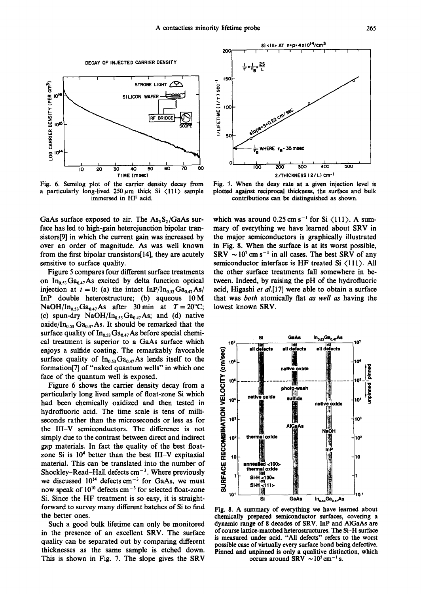

DECAY OF INJECTED CARRIER DENSITY

Fig. 6. Semilog plot of the carrier density decay from a particularly long-lived  $250 \mu m$  thick Si  $\langle 111 \rangle$  sample immersed in HF acid.

GaAs surface exposed to air. The  $As_3S_2/GaAs$  surface has led to high-gain heterojunction bipolar transistors[9] in which the current gain was increased by over an order of magnitude. As was well known from the first bipolar transistors $[14]$ , they are acutely sensitive to surface quality.

Figure 5 compares four different surface treatments on  $In_{0.53}Ga_{0.47}As$  excited by delta function optical injection at  $t = 0$ : (a) the intact InP/In<sub>0.53</sub>Ga<sub>0.47</sub>As/ InP double heterostructure; (b) aqueous 10M NaOH/In<sub>0.53</sub>Ga<sub>0.47</sub>As after 30 min at  $T = 20^{\circ}$ C; (c) spun-dry  $NaOH/In<sub>0.53</sub>Ga<sub>0.47</sub>As;$  and (d) native oxide/In<sub>0.53</sub> Ga<sub>0.47</sub> As. It should be remarked that the surface quality of  $In<sub>0.53</sub> Ga<sub>0.47</sub> As before special chemi$ cal treatment is superior to a GaAs surface which enjoys a sulfide coating. The remarkably favorable surface quality of  $In_{0.53}Ga_{0.47}As$  lends itself to the formation[7] of "naked quantum wells" in which one face of the quantum well is exposed.

Figure 6 shows the carrier density decay from a particularly long lived sample of float-zone Si which had been chemically oxidized and then tested in hydrofluoric acid. The time scale is tens of milliseconds rather than the microseconds or less as for the III-V semiconductors. The difference is not simply due to the contrast between direct and indirect gap materials. In fact the quality of the best floatzone Si is  $10<sup>4</sup>$  better than the best III-V expitaxial material. This can be translated into the number of Shockley-Read-Hall defects  $cm^{-3}$ . Where previously we discussed  $10^{14}$  defects cm<sup>-3</sup> for GaAs, we must now speak of  $10^{10}$  defects cm<sup>-3</sup> for selected float-zone Si. Since the HF treatment is so easy, it is straightforward to survey many different batches of Si to find the better ones.

Such a good bulk lifetime can only be monitored in the presence of an excellent SRV. The surface quality can be separated out by comparing different thicknesses as the same sample is etched down. This is shown in Fig. 7. The slope gives the SRV



Fig. 7. When the deay rate at a given injection level is plotted against reciprocal thickness, the surface and bulk contributions can be distinguished as shown.

which was around  $0.25 \text{ cm s}^{-1}$  for Si  $\langle 111 \rangle$ . A summary of everything we have learned about SRV in the major semiconductors is graphically illustrated in Fig. 8. When the surface is at its worst possible, SRV  $\sim$  10<sup>7</sup> cm s<sup>-1</sup> in all cases. The best SRV of any semiconductor interface is HF treated Si  $\langle 111 \rangle$ . All the other surface treatments fall somewhere in between. Indeed, by raising the pH of the hydrofluoric acid, Higashi *et al.[17]* were able to obtain a surface that was *both* atomically flat as *well as* having the lowest known SRV.



Fig. 8. A summary of everything we have learned about chemically prepared semiconductor surfaces, covering a dynamic range of 8 decades of SRV. InP and AIGaAs are of course lattice-matched heterostructures. The Si-H surface is measured under acid. "All defects" refers to the worst possible case of virtually every surface bond being defective. Pinned and unpinned is only a qualitive distinction, which occurs around SRV  $\sim 10^5$  cm<sup>-1</sup> s.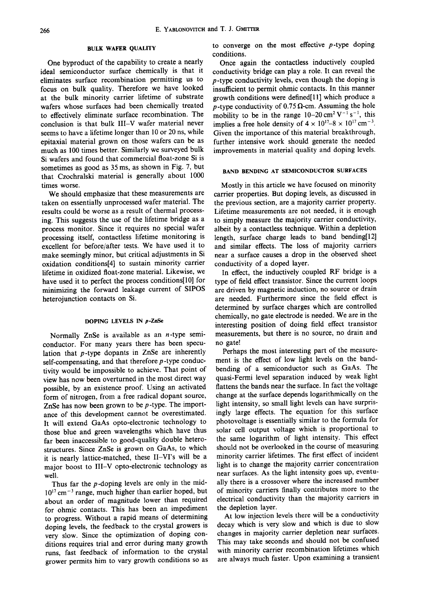## **BULK WAFER QUALITY**

One byproduct of the capability to create a nearly ideal semiconductor surface chemically is that it eliminates surface recombination permitting us to focus on bulk quality. Therefore we have looked at the bulk minority carrier lifetime of substrate wafers whose surfaces had been chemically treated to effectively eliminate surface recombination. The conclusion is that bulk III-V wafer material never seems to have a lifetime longer than 10 or 20 ns, while epitaxial material grown on those wafers can be as much as 100 times better. Similarly we surveyed bulk Si wafers and found that commercial float-zone Si is sometimes as good as 35 ms, as shown in Fig. 7, but that Czochralski material is generally about 1000 times worse.

We should emphasize that these measurements are taken on essentially unprocessed wafer material. The results could be worse as a result of thermal processing. This suggests the use of the lifetime bridge as a process monitor. Since it requires no special wafer processing itself, contactless lifetime monitoring is excellent for before/after tests. We have used it to make seemingly minor, but critical adjustments in Si oxidation conditions[4] to sustain minority carrier lifetime in oxidized float-zone material. Likewise, we have used it to perfect the process conditions[10] for minimizing the forward leakage current of SIPOS heterojunction contacts on Si.

## **DOPING LEVELS IN** p-ZnSe

Normally ZnSe is available as an n-type semiconductor. For many years there has been speculation that p-type dopants in ZnSe are inherently self-compensating, and that therefore  $p$ -type conductivity would be impossible to achieve. That point of view has now been overturned in the most direct way possible, by an existence proof. Using an activated form of nitrogen, from a free radical dopant source, ZnSe has now been grown to be  $p$ -type. The importance of this development cannot be overestimated. It will extend GaAs opto-electronic technology to those blue and green wavelengths which have thus far been inaccessible to good-quality double heterostructures. Since ZnSe is grown on GaAs, to which it is nearly lattice-matched, these II-VI's will be a major boost to III-V opto-electronic technology as well.

Thus far the  $p$ -doping levels are only in the mid-10<sup>17</sup> cm<sup>-3</sup> range, much higher than earlier hoped, but about an order of magnitude lower than required for ohmic contacts. This has been an impediment to progress. Without a rapid means of determining doping levels, the feedback to the crystal growers is very slow. Since the optimization of doping conditions requires trial and error during many growth runs, fast feedback of information to the crystal grower permits him to vary growth conditions so as

to converge on the most effective  $p$ -type doping conditions.

Once again the contactless inductively coupled conductivity bridge can play a role. It can reveal the p-type conductivity levels, even though the doping is insufficient to permit ohmic contacts. In this manner growth conditions were defined[11] which produce a p-type conductivity of 0.75  $\Omega$ -cm. Assuming the hole mobility to be in the range  $10-20 \text{ cm}^2 \text{ V}^{-1} \text{ s}^{-1}$ , this implies a free hole density of  $4 \times 10^{17} - 8 \times 10^{17}$  cm<sup>-3</sup>. Given the importance of this material breakthrough, further intensive work should generate the needed improvements in material quality and doping levels.

## **BAND BENDING AT SEMICONDUCTOR SURFACES**

Mostly in this article we have focused on minority carrier properties. But doping levels, as discussed in the previous section, are a majority carrier property. Lifetime measurements are not needed, it is enough to simply measure the majority carrier conductivity, albeit by a contactless technique. Within a depletion length, surface charge leads to band bending[12] and similar effects. The loss of majority carriers near a surface causes a drop in the observed sheet conductivity of a doped layer.

In effect, the inductively coupled RF bridge is a type of field effect transistor. Since the current loops are driven by magnetic induction, no source or drain are needed. Furthermore since the field effect is determined by surface charges which are controlled chemically, no gate electrode is needed. We are in the interesting position of doing field effect transistor measurements, but there is no source, no drain and no gate!

Perhaps the most interesting part of the measurement is the effect of low light levels on the bandbending of a semiconductor such as GaAs. The quasi-Fermi level separation induced by weak light flattens the bands near the surface. In fact the voltage change at the surface depends logarithmically on the light intensity, so small light levels can have surprisingly large effects. The equation for this surface photovoltage is essentially similar to the formula for solar cell output voltage which is proportional to the same logarithm of light intensity. This effect should not be overlooked in the course of measuring minority carrier lifetimes. The first effect of incident light is to change the majority carrier concentration near surfaces. As the light intensity goes up, eventually there is a crossover where the increased number of minority carriers finally contributes more to the electrical conductivity than the majority carriers in the depletion layer.

At low injection levels there will be a conductivity decay which is very slow and which is due to slow changes in majority carrier depletion near surfaces. This may take seconds and should not be confused with minority carrier recombination lifetimes which are always much faster. Upon examining a transient